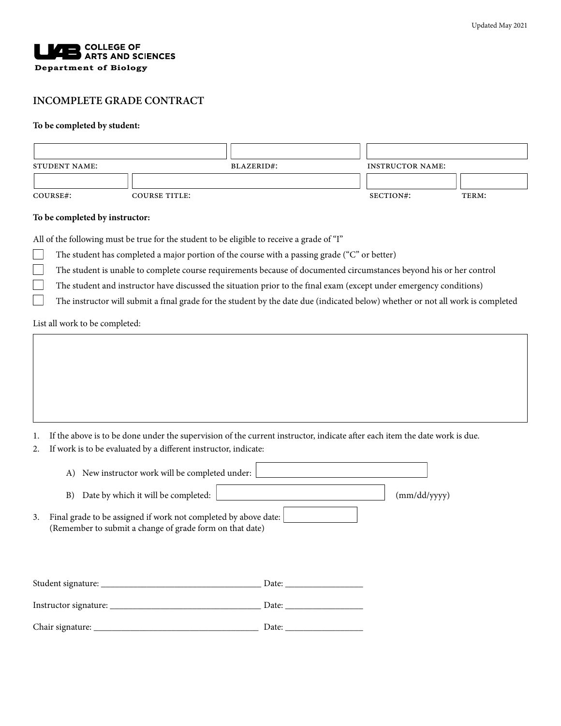

## **INCOMPLETE GRADE CONTRACT**

## **To be completed by student:**

| STUDENT NAME: |               | BLAZERID#: | <b>INSTRUCTOR NAME:</b> |       |
|---------------|---------------|------------|-------------------------|-------|
|               |               |            |                         |       |
| COURSE#:      | COURSE TITLE: |            | SECTION#:               | TERM: |

## **To be completed by instructor:**

All of the following must be true for the student to be eligible to receive a grade of "I"

The student has completed a major portion of the course with a passing grade ("C" or better)

٦ The student is unable to complete course requirements because of documented circumstances beyond his or her control

 $\sim$ The student and instructor have discussed the situation prior to the final exam (except under emergency conditions)

 $\Box$ The instructor will submit a final grade for the student by the date due (indicated below) whether or not all work is completed

## List all work to be completed:

|  |  | 1. If the above is to be done under the supervision of the current instructor, indicate after each item the date work is due. |
|--|--|-------------------------------------------------------------------------------------------------------------------------------|
|  |  |                                                                                                                               |

2. If work is to be evaluated by a different instructor, indicate:

| A) New instructor work will be completed under:                                                                                     |                                                          |              |
|-------------------------------------------------------------------------------------------------------------------------------------|----------------------------------------------------------|--------------|
| B) Date by which it will be completed:                                                                                              |                                                          | (mm/dd/yyyy) |
| Final grade to be assigned if work not completed by above date:  <br>3.<br>(Remember to submit a change of grade form on that date) |                                                          |              |
|                                                                                                                                     |                                                          |              |
|                                                                                                                                     |                                                          |              |
|                                                                                                                                     | Date: $\frac{1}{\sqrt{1-\frac{1}{2}} \cdot \frac{1}{2}}$ |              |